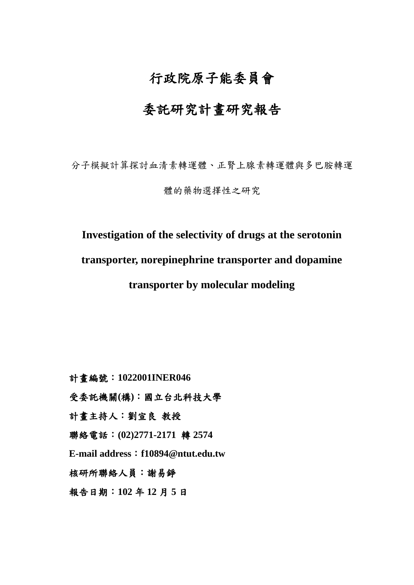# 行政院原子能委員會

# 委託研究計畫研究報告

分子模擬計算探討血清素轉運體、正腎上腺素轉運體與多巴胺轉運

體的藥物選擇性之研究

## **Investigation of the selectivity of drugs at the serotonin**

**transporter, norepinephrine transporter and dopamine** 

**transporter by molecular modeling**

計畫編號:**1022001INER046**

受委託機關**(**構**)**:國立台北科技大學

計畫主持人:劉宣良 教授

聯絡電話:**(02)2771-2171** 轉 **2574**

**E-mail address**:**f10894@ntut.edu.tw**

核研所聯絡人員:謝易錚

報告日期:**102** 年 **12** 月 **5** 日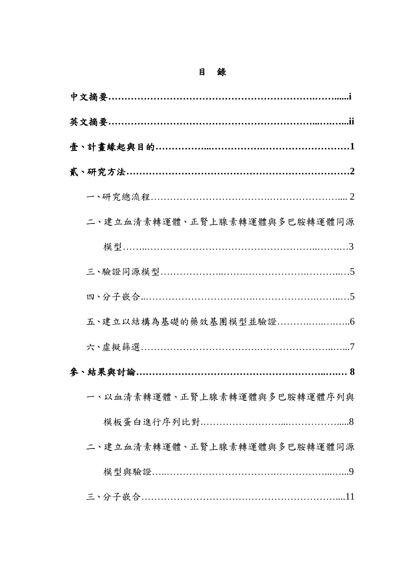## 目 錄

| 二、建立血清素轉運體、正腎上腺素轉運體與多巴胺轉運體同源 |
|------------------------------|
|                              |
|                              |
|                              |
|                              |
|                              |
|                              |
| 一、以血清素轉運體、正腎上腺素轉運體與多巴胺轉運體序列與 |
|                              |
| 二、建立血清素轉運體、正腎上腺素轉運體與多巴胺轉運體同源 |
|                              |
|                              |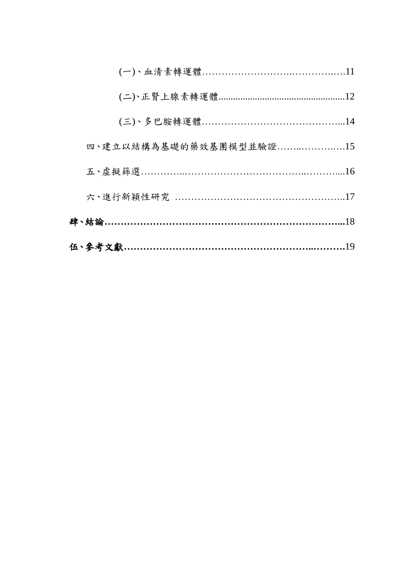| 四、建立以結構為基礎的藥效基團模型並驗證15         |  |
|--------------------------------|--|
|                                |  |
| 六、進行新穎性研究 ………………………………………………17 |  |
|                                |  |
|                                |  |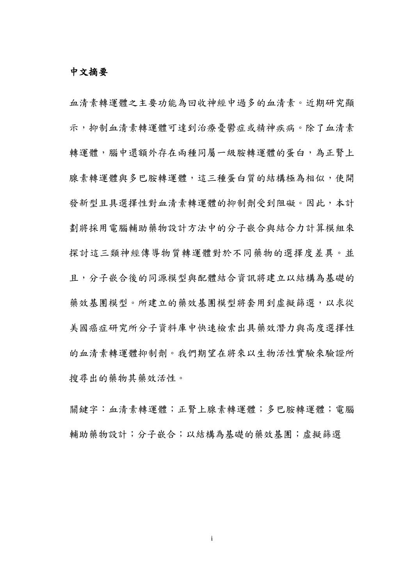### 中文摘要

血清素轉運體之主要功能為回收神經中過多的血清素。近期研究顯 示,抑制血清素轉運體可達到治療憂鬱症或精神疾病。除了血清素 轉運體,腦中還額外存在兩種同屬一級胺轉運體的蛋白,為正腎上 腺素轉運體多巴胺轉運體,這三種蛋白質的結構極為相似,使開 發新型且具選擇性對血清素轉運體的抑制劑受到阻礙。因此,本計 劃將採用電腦輔助藥物設計方法中的分子嵌合與結合力計算模組來 探討這三類神經傳導物質轉運體對於不同藥物的選擇度差異。並 且,分子嵌合後的同源模型與配體結合資訊將建立以結構為基礎的 藥效基團模型將套用到虛擬篩選,以求從 美國癌症研究所分子資料庫中快速檢索出具藥效潛力與高度選擇性 的血清素轉運體抑制劑。我們期望在將來以生物活性實驗來驗證所 搜尋出的藥物其藥效活性。

關鍵字:血清素轉運體;正腎上腺素轉運體;多巴胺轉運體;電腦 輔助藥物設計;分子嵌合;以結構為基礎的藥效基團;虛擬篩選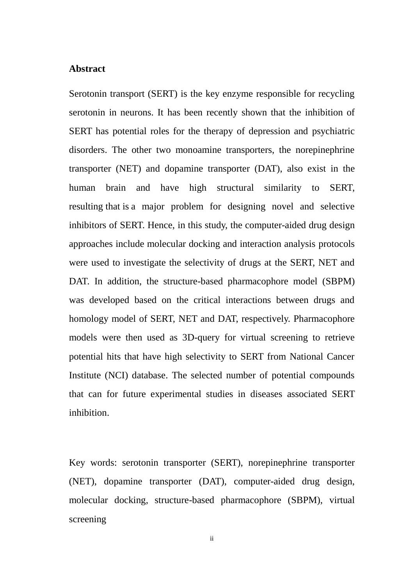### **Abstract**

Serotonin transport (SERT) is the key enzyme responsible for recycling serotonin in neurons. It has been recently shown that the inhibition of SERT has potential roles for the therapy of depression and psychiatric disorders. The other two monoamine transporters, the norepinephrine transporter (NET) and dopamine transporter (DAT), also exist in the human brain and have high structural similarity to SERT, resulting that is a major problem for designing novel and selective inhibitors of SERT. Hence, in this study, the computer-aided drug design approaches include molecular docking and interaction analysis protocols were used to investigate the selectivity of drugs at the SERT, NET and DAT. In addition, the structure-based pharmacophore model (SBPM) was developed based on the critical interactions between drugs and homology model of SERT, NET and DAT, respectively. Pharmacophore models were then used as 3D-query for virtual screening to retrieve potential hits that have high selectivity to SERT from National Cancer Institute (NCI) database. The selected number of potential compounds that can for future experimental studies in diseases associated SERT inhibition.

Key words: serotonin transporter (SERT), norepinephrine transporter (NET), dopamine transporter (DAT), computer-aided drug design, molecular docking, structure-based pharmacophore (SBPM), virtual screening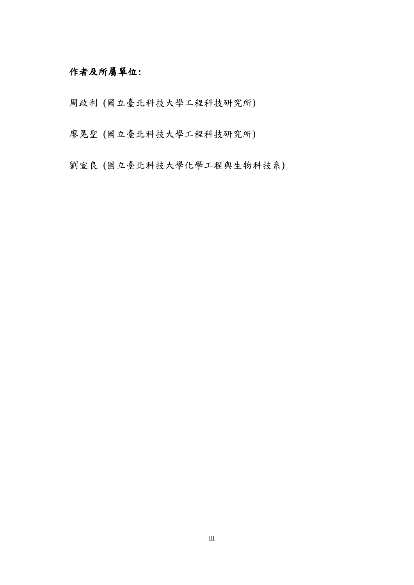## 作者及所屬單位:

周政利 (國立臺北科技大學工程科技研究所)

廖晃聖 (國立臺北科技大學工程科技研究所)

劉宣良 (國立臺北科技大學化學工程與生物科技系)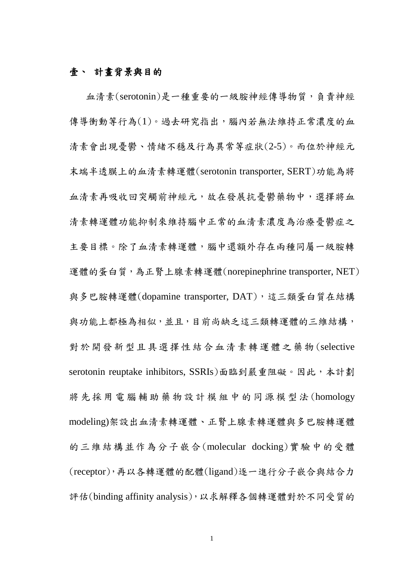### 壹、 計畫背景與目的

血清素(serotonin)是一種重要的一級胺神經傳導物質,負責神經 傳導衝動等行為(1)。過去研究指出,腦內若無法維持正常濃度的血 清素會出現憂鬱、情緒不穩及行為異常等症狀(2-5)。而位於神經元 末端半透膜上的血清素轉運體(serotonin transporter, SERT)功能為將 血清素再吸收回突觸前神經元,故在發展抗憂鬱藥物中,選擇將血 清素轉運體功能抑制來維持腦中正常的血清素濃度為治療憂鬱症之 主要目標。除了血清素轉運體,腦中還額外存在兩種同屬一級胺轉 運體的蛋白質,為正腎上腺素轉運體(norepinephrine transporter, NET) 與多巴胺轉運體(dopamine transporter, DAT),這三類蛋白質在結構 與功能上都極為相似,並且,目前尚缺乏這三類轉運體的三維結構, 對於開發新型且具選擇性結合血清素轉運體之藥物 (selective serotonin reuptake inhibitors, SSRIs)面臨到嚴重阻礙。因此,本計劃 將 先 採 用 電 腦 輔 助 藥 物 設 計 模 組 中 的 同源模型法 (homology modeling)架設出血清素轉運體、正腎上腺素轉運體與多巴胺轉運體 的三維結構並作為分子嵌合(molecular docking)實驗中的受體 (receptor),再以各轉運體的配體(ligand)逐一進行分子嵌合與結合力 評估(binding affinity analysis),以求解釋各個轉運體對於不同受質的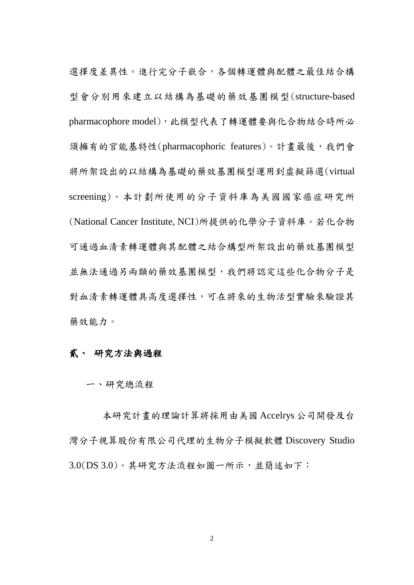選擇度差異性。進行完分子嵌合,各個轉運體與配體之最佳結合構 型會分別用來建立以結構為基礎的藥效基團模型(structure-based pharmacophore model), 此模型代表了轉運體要與化合物結合時所必 須擁有的官能基特性(pharmacophoric features)。計畫最後,我們會 將所架設出的以結構為基礎的藥效基團模型運用到虛擬篩選(virtual screening)。本計劃所使用的分子資料庫為美國國家癌症研究所 (National Cancer Institute, NCI)所提供的化學分子資料庫。若化合物 可通過血清素轉運體與其配體之結合構型所架設出的藥效基團模型 並無法通過另兩類的藥效基團模型,我們將認定這些化合物分子是 對血清素轉運體具高度選擇性,可在將來的生物活型實驗來驗證其 藥效能力。

### 貳、 研究方法與過程

一、研究總流程

本研究計畫的理論計算將採用由美國 Accelrys 公司開發及台 灣分子視算股份有限公司代理的生物分子模擬軟體 Discovery Studio 3.0(DS 3.0)。其研究方法流程如圖一所示,並簡述如下: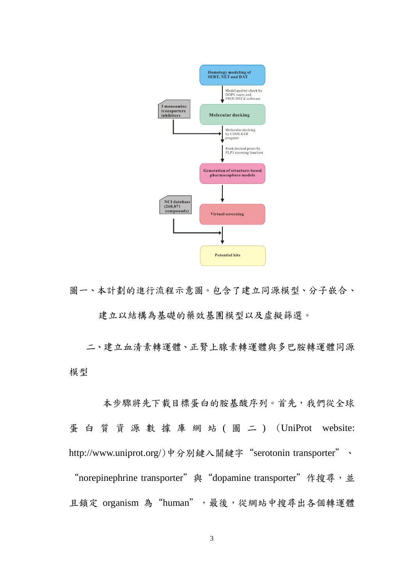

圖一、本計劃的進行流程示意圖。包含了建立同源模型、分子嵌合、 建立以結構為基礎的藥效基團模型以及虛擬篩選。

二、建立血清素轉運體、正腎上腺素轉運體與多巴胺轉運體同源 模型

本步驟將先下載目標蛋白的胺基酸序列。首先,我們從全球 蛋 白 質 資 源 數 據 庫 網 站 ( 圖 二 ) (UniProt website: http://www.uniprot.org/)中分別鍵入關鍵字 "serotonin transporter"、

"norepinephrine transporter" 與 "dopamine transporter" 作搜尋,並 且鎖定 organism 為"human", 最後,從網站中搜尋出各個轉運體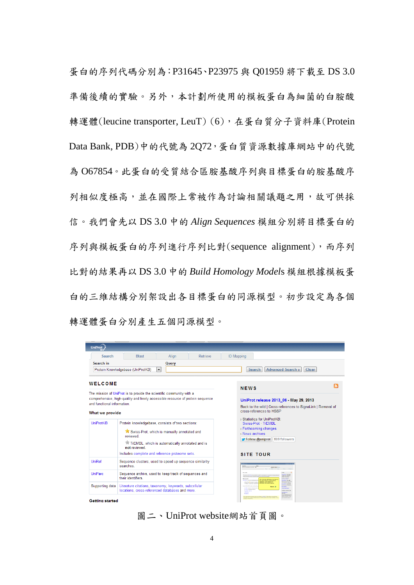蛋白的序列代碼分別為:P31645、P23975 與 Q01959 將下載至 DS 3.0 準備後續的實驗。另外,本計劃所使用的模板蛋白為細菌的白胺酸 轉運體(leucine transporter, LeuT) (6), 在蛋白質分子資料庫(Protein Data Bank, PDB)中的代號為 2Q72,蛋白質資源數據庫網站中的代號 為 O67854。此蛋白的受質結合區胺基酸序列與目標蛋白的胺基酸序 列相似度極高,並在國際上常被作為討論相關議題之用,故可供採 信。我們會先以 DS 3.0 中的 *Align Sequences* 模組分別將目標蛋白的 序列與模板蛋白的序列進行序列比對(sequence alignment),而序列 比對的結果再以 DS 3.0 中的 *Build Homology Model*s 模組根據模板蛋 白的三維結構分別架設出各目標蛋白的同源模型。初步設定為各個 轉運體蛋白分別產生五個同源模型。

| UniProt                                                              |                                                                                                          |                                                                                                                                                      |                                                                                                                                                                                                                                                                                                                                                                 |  |
|----------------------------------------------------------------------|----------------------------------------------------------------------------------------------------------|------------------------------------------------------------------------------------------------------------------------------------------------------|-----------------------------------------------------------------------------------------------------------------------------------------------------------------------------------------------------------------------------------------------------------------------------------------------------------------------------------------------------------------|--|
| <b>Search</b>                                                        | <b>Blast</b><br>Align<br>Retrieve                                                                        |                                                                                                                                                      | <b>ID Mapping</b>                                                                                                                                                                                                                                                                                                                                               |  |
| Search in                                                            | Query                                                                                                    |                                                                                                                                                      |                                                                                                                                                                                                                                                                                                                                                                 |  |
|                                                                      | Protein Knowledgebase (UniProtKB)<br>$\overline{\phantom{a}}$                                            |                                                                                                                                                      | <b>Advanced Search »</b><br>Clear<br><b>Search</b>                                                                                                                                                                                                                                                                                                              |  |
| WELCOME                                                              |                                                                                                          |                                                                                                                                                      |                                                                                                                                                                                                                                                                                                                                                                 |  |
| The mission of UniProt is to provide the scientific community with a |                                                                                                          |                                                                                                                                                      | <b>NEWS</b>                                                                                                                                                                                                                                                                                                                                                     |  |
|                                                                      | comprehensive, high-quality and freely accessible resource of protein sequence                           |                                                                                                                                                      | UniProt release 2013_06 - May 29, 2013                                                                                                                                                                                                                                                                                                                          |  |
| and functional information.                                          |                                                                                                          |                                                                                                                                                      | Back to the wild   Cross-references to SignaLink   Removal of                                                                                                                                                                                                                                                                                                   |  |
| What we provide                                                      |                                                                                                          |                                                                                                                                                      | cross-references to HSSP                                                                                                                                                                                                                                                                                                                                        |  |
|                                                                      |                                                                                                          |                                                                                                                                                      | > Statistics for UniProtKB:                                                                                                                                                                                                                                                                                                                                     |  |
| <b>UniProtKB</b>                                                     | Protein knowledgebase, consists of two sections:                                                         |                                                                                                                                                      | Swiss-Prot - TrEMBL<br>> Forthcoming changes                                                                                                                                                                                                                                                                                                                    |  |
|                                                                      | Swiss-Prot, which is manually annotated and<br>reviewed                                                  |                                                                                                                                                      | > News archives                                                                                                                                                                                                                                                                                                                                                 |  |
| TrEMBL, which is automatically annotated and is<br>not reviewed.     |                                                                                                          |                                                                                                                                                      | Follow @uniprot 609 followers                                                                                                                                                                                                                                                                                                                                   |  |
|                                                                      | Includes complete and reference proteome sets.                                                           |                                                                                                                                                      | <b>SITE TOUR</b>                                                                                                                                                                                                                                                                                                                                                |  |
| UniRef                                                               | Sequence clusters, used to speed up sequence similarity<br>searches                                      |                                                                                                                                                      | Senta<br>Francisco Corporation 12<br><b>New Street Free</b>                                                                                                                                                                                                                                                                                                     |  |
| <b>UniParc</b>                                                       | Sequence archive, used to keep track of sequences and<br>their identifiers                               | <b>Manager</b><br>This tutarial will above you have to<br><b>Brasil Mid - April 198</b><br>find of preteins implicated in<br>dialectes, and whose 2D |                                                                                                                                                                                                                                                                                                                                                                 |  |
| Supporting data                                                      | Literature citations, taxonomy, keywords, subcellular<br>locations, cross-referenced databases and more. |                                                                                                                                                      | a Transfer Hormond consider<br>structure has been ordered.<br>. Total LT women annual<br><b>Seattle Former</b><br>the product in the state of the product of the<br>Start <sub>-O</sub><br><b>START AND ARTICLES</b><br>which are a straight to be<br><b>Callen Association</b><br><b>SERVE MARKET</b><br>. Limited stations<br><b>Canada</b><br><b>DOM: NO</b> |  |
| <b>Getting started</b>                                               |                                                                                                          |                                                                                                                                                      |                                                                                                                                                                                                                                                                                                                                                                 |  |

圖二、UniProt website網站首頁圖。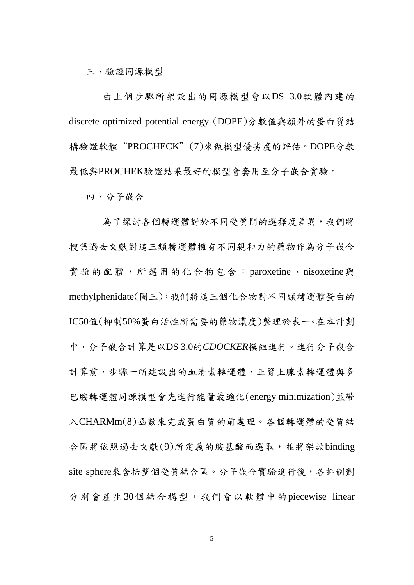三、驗證同源模型

由上個步驟所架設出的同源模型會以DS 3.0軟體內建的 discrete optimized potential energy (DOPE)分數值與額外的蛋白質結 構驗證軟體"PROCHECK"(7)來做模型優劣度的評估。DOPE分數 最低與PROCHEK驗證結果最好的模型會套用至分子嵌合實驗。

四、分子嵌合

為了探討各個轉運體對於不同受質間的選擇度差異,我們將 搜集過去文獻對這三類轉運體擁有不同親和力的藥物作為分子嵌合 實驗的配體,所選用的化合物包含 :paroxetine、nisoxetine與 methylphenidate(圖三),我們將這三個化合物對不同類轉運體蛋白的 IC50值(抑制50%蛋白活性所需要的藥物濃度)整理於表一。在本計劃 中,分子嵌合計算是以DS 3.0的*CDOCKER*模組進行。進行分子嵌合 計算前,步驟一所建設出的血清素轉運體、正腎上腺素轉運體與多 巴胺轉運體同源模型會先進行能量最適化(energy minimization)並帶 入CHARMm(8)函數來完成蛋白質的前處理。各個轉運體的受質結 合區將依照過去文獻(9)所定義的胺基酸而選取,並將架設binding site sphere來含括整個受質結合區。分子嵌合實驗進行後,各抑制劑 分別會產生30個結合構型,我們會以軟體中的piecewise linear

5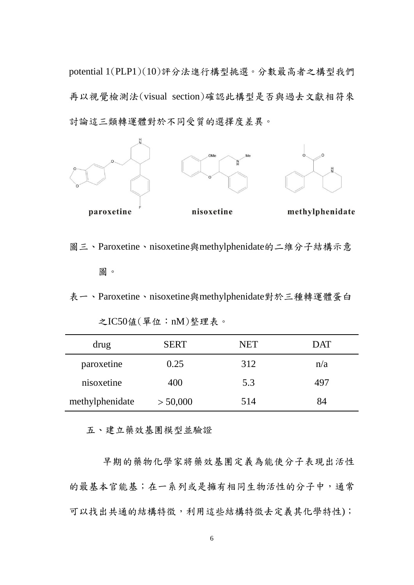potential 1(PLP1)(10)評分法進行構型挑選。分數最高者之構型我們 再以視覺檢測法(visual section)確認此構型是否與過去文獻相符來 討論這三類轉運體對於不同受質的選擇度差異。



圖三、Paroxetine、nisoxetine與methylphenidate的二維分子結構示意 圖。

表一、Paroxetine、nisoxetine與methylphenidate對於三種轉運體蛋白

| drug            | <b>SERT</b> | <b>NET</b> | <b>DAT</b> |
|-----------------|-------------|------------|------------|
| paroxetine      | 0.25        | 312        | n/a        |
| nisoxetine      | 400         | 5.3        | 497        |
| methylphenidate | > 50,000    | 514        | X4         |

之IC50値(單位:nM)整理表。

五、建立藥效基團模型並驗證

早期的藥物化學家將藥效基團定義為能使分子表現出活性 的最基本官能基;在一系列或是擁有相同生物活性的分子中,通常 可以找出共通的結構特徵,利用這些結構特徵去定義其化學特性);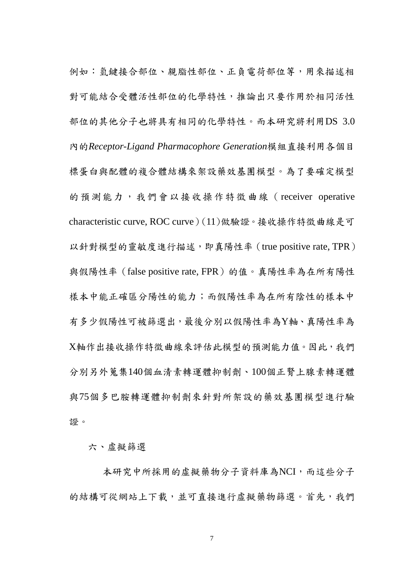例如:氫鍵接合部位、親脂性部位、正負電荷部位等,用來描述相 對可能結合受體活性部位的化學特性,推論出只要作用於相同活性 部位的其他分子也將具有相同的化學特性。而本研究將利用DS 3.0 內的*Receptor-Ligand Pharmacophore Generation*模組直接利用各個目 標蛋白與配體的複合體結構來架設藥效基團模型。為了要確定模型 的預測能力,我們會以接收操作特徵曲線(receiver operative characteristic curve, ROC curve)(11)做驗證。接收操作特徵曲線是可 以針對模型的靈敏度進行描述,即真陽性率(true positive rate, TPR) 與假陽性率 (false positive rate, FPR)的值。真陽性率為在所有陽性 樣本中能正確區分陽性的能力;而假陽性率為在所有陰性的樣本中 有多少假陽性可被篩選出,最後分別以假陽性率為Y軸、真陽性率為 X軸作出接收操作特徵曲線來評估此模型的預測能力值。因此,我們 分別另外蒐集140個血清素轉運體抑制劑、100個正腎上腺素轉運體 與75個多巴胺轉運體抑制劑來針對所架設的藥效基團模型進行驗 證。

六、虛擬篩選

本研究中所採用的虛擬藥物分子資料庫為NCI,而這些分子 的結構可從網站上下載,並可直接進行虛擬藥物篩選。首先,我們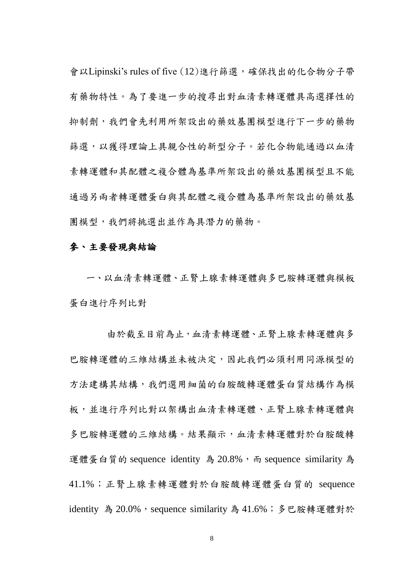會以Lipinski's rules of five (12)進行篩選,確保找出的化合物分子帶 有藥物特性。為了要進一步的搜尋出對血清素轉運體具高選擇性的 抑制劑,我們會先利用所架設出的藥效基團模型進行下一步的藥物 篩選,以獲得理論上具親合性的新型分子。若化合物能通過以血清 素轉運體和其配體之複合體為基準所架設出的藥效基團模型且不能 通過另兩者轉運體蛋白與其配體之複合體為基準所架設出的藥效基 團模型,我們將挑選出並作為具潛力的藥物。

### 參、主要發現與結論

一、以血清素轉運體、正腎上腺素轉運體與多巴胺轉運體與模板 蛋白進行序列比對

由於截至目前為止,血清素轉運體、正腎上腺素轉運體與多 巴胺轉運體的三維結構並未被決定,因此我們必須利用同源模型的 方法建構其結構,我們選用細菌的白胺酸轉運體蛋白質結構作為模 板,並進行序列比對以架構出血清素轉運體、正腎上腺素轉運體與 多巴胺轉運體的三維結構。結果顯示,血清素轉運體對於白胺酸轉 運體蛋白質的 sequence identity 為 20.8%, 而 sequence similarity 為 41.1%;正腎上腺素轉運體對於白胺酸轉運體蛋白質的 sequence identity 為 20.0%, sequence similarity 為 41.6%; 多巴胺轉運體對於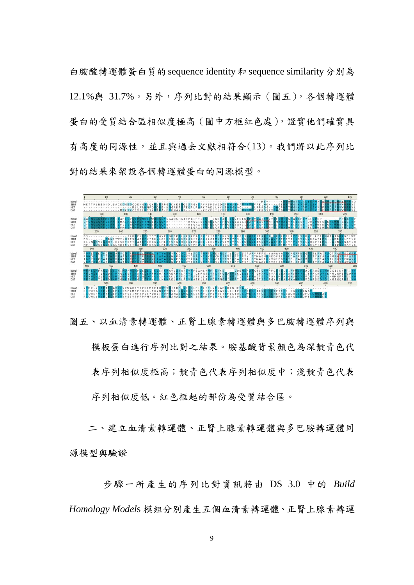白胺酸轉運體蛋白質的sequence identity和 sequence similarity分別為 12.1%與 31.7%。另外,序列比對的結果顯示(圖五),各個轉運體 蛋白的受質結合區相似度極高(圖中方框紅色處),證實他們確實具 有高度的同源性,並且與過去文獻相符合(13)。我們將以此序列比 對的結果來架設各個轉運體蛋白的同源模型。



圖五、以血清素轉運體、正腎上腺素轉運體與多巴胺轉運體序列與 模板蛋白進行序列比對之結果。胺基酸背景顏色為深靛青色代 表序列相似度和;淡靛青色代表 序列相似度低。紅色框起的部份為受質結合區。

二、建立血清素轉運體、正腎上腺素轉運體與多巴胺轉運體同 源模型與驗證

步驟一所產生的序列比對資訊將由 DS 3.0 中的 *Build Homology Model*s 模組分別產生五個血清素轉運體、正腎上腺素轉運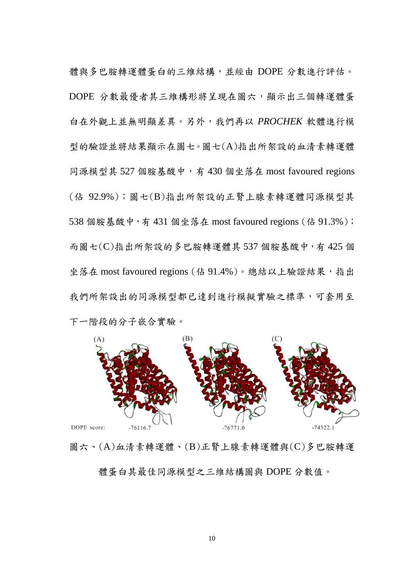體與多巴胺轉運體蛋白的三維結構,並經由 DOPE 分數進行評估。 DOPE 分數最優者其三維構形將呈現在圖六,顯示出三個轉運體蛋 白在外觀上並無明顯差異。另外,我們再以 *PROCHEK* 軟體進行模 型的驗證並將結果顯示在圖七。圖七(A)指出所架設的血清素轉運體 同源模型其 527 個胺基酸中,有 430 個坐落在 most favoured regions (佔 92.9%);圖七(B)指出所架設的正腎上腺素轉運體同源模型其 538 個胺基酸中,有 431 個坐落在 most favoured regions (佔 91.3%); 而圖七(C)指出所架設的多巴胺轉運體其 537 個胺基酸中,有 425 個 坐落在 most favoured regions (佔 91.4%)。總結以上驗證結果, 指出 我們所架設出的同源模型都已達到進行模擬實驗之標準,可套用至 下一階段的分子嵌合實驗。



圖六、(A)血清素轉運體、(B)正腎上腺素轉運體與(C)多巴胺轉運 體蛋白其最佳同源模型之三維結構圖與 DOPE 分數值。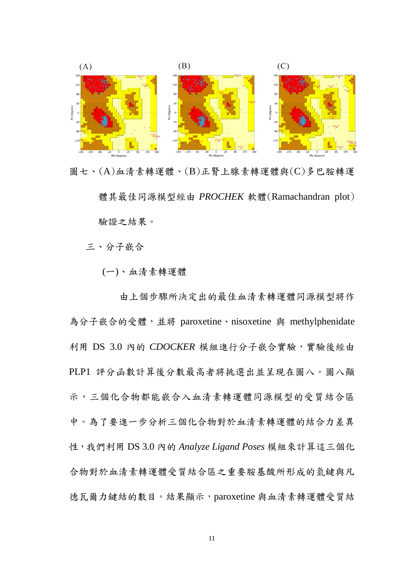

圖七、(A)血清素轉運體、(B)正腎上腺素轉運體與(C)多巴胺轉運 體其最佳同源模型經由 *PROCHEK* 軟體(Ramachandran plot) 驗證之結果。

三、分子嵌合

(一)、血清素轉運體

由上個步驟所決定出的最佳血清素轉運體同源模型將作 為分子嵌合的受體,並將 paroxetine、nisoxetine 與 methylphenidate 利用 DS 3.0 內的 *CDOCKER* 模組進行分子嵌合實驗,實驗後經由 PLP1 評分函數計算後分數最高者將挑選出並呈現在圖八。圖八顯 示,三個化合物都能嵌合入血清素轉運體同源模型的受質結合區 中。為了要進一步分析三個化合物對於血清素轉運體的結合力差異 性,我們利用 DS 3.0 內的 *Analyze Ligand Poses* 模組來計算這三個化 合物對於血清素轉運體受質結合區之重要胺基酸所形成的氫鍵與凡 德瓦爾力鍵結的數目。結果顯示,paroxetine 與血清素轉運體受質結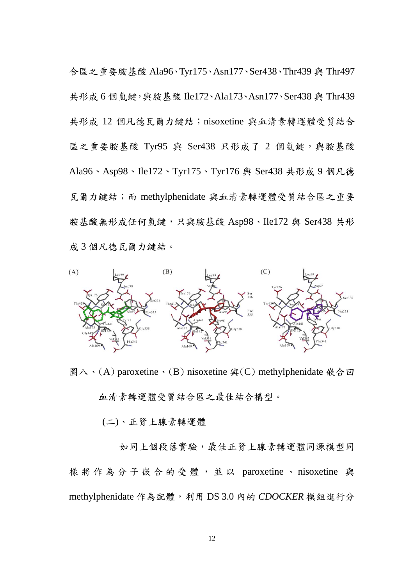合區之重要胺基酸 Ala96、Tyr175、Asn177、Ser438、Thr439 與 Thr497 共形成 6 個氫鍵,與胺基酸 Ile172、Ala173、Asn177、Ser438 與 Thr439 共形成 12 個凡德瓦爾力鍵結; nisoxetine 與血清素轉運體受質結合 區之重要胺基酸 Tyr95 與 Ser438 只形成了 2 個氫鍵,與胺基酸 Ala96、Asp98、Ile172、Tyr175、Tyr176 與 Ser438 共形成 9 個凡德 瓦爾力鍵結;而 methylphenidate 與血清素轉運體受質結合區之重要 胺基酸無形成任何氫鍵,只與胺基酸 Asp98、Ile172 與 Ser438 共形 成 3 個凡德瓦爾力鍵結。



圖八、(A) paroxetine、(B) nisoxetine 與(C) methylphenidate 嵌合回 血清素轉運體受質結合區之最佳結合構型。

(二)、正腎上腺素轉運體

如同上個段落實驗,最佳正腎上腺素轉運體同源模型同 樣將作為分子嵌合的受體,並以 paroxetine、nisoxetine 與 methylphenidate 作為配體,利用 DS 3.0 內的 *CDOCKER* 模組進行分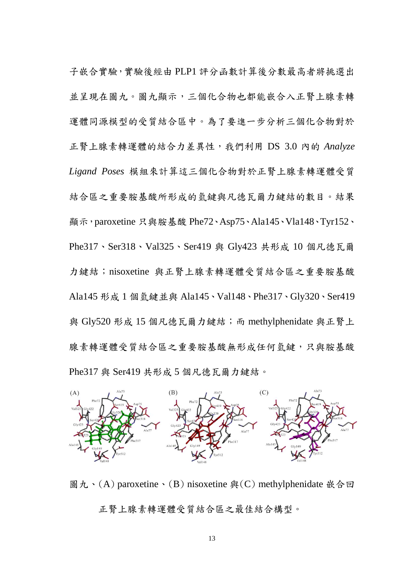子嵌合實驗,實驗後經由 PLP1 評分函數計算後分數最高者將挑選出 並呈現在圖九。圖九顯示,三個化合物也都能嵌合入正腎上腺素轉 運體同源模型的受質結合區中。為了要進一步分析三個化合物對於 正腎上腺素轉運體的結合力差異性,我們利用 DS 3.0 內的 *Analyze Ligand Poses* 模組來計算這三個化合物對於正腎上腺素轉運體受質 結合區之重要胺基酸所形成的氫鍵與凡德瓦爾力鍵結的數目。結果 顯示,paroxetine 只與胺基酸 Phe72、Asp75、Ala145、Vla148、Tyr152、 Phe317、Ser318、Val325、Ser419 與 Gly423 共形成 10 個凡德瓦爾 力鍵結; nisoxetine 與正腎上腺素轉運體受質結合區之重要胺基酸 Ala145 形成 1 個氫鍵並與 Ala145、Val148、Phe317、Gly320、Ser419 與 Gly520 形成 15 個凡德瓦爾力鍵結;而 methylphenidate 與正腎上 腺素轉運體受質結合區之重要胺基酸無形成任何氫鍵,只與胺基酸 Phe317 與 Ser419 共形成 5 個凡德瓦爾力鍵結。



圖九、(A) paroxetine、(B) nisoxetine 與(C) methylphenidate 嵌合回 正腎上腺素轉運體受質結合區之最佳結合構型。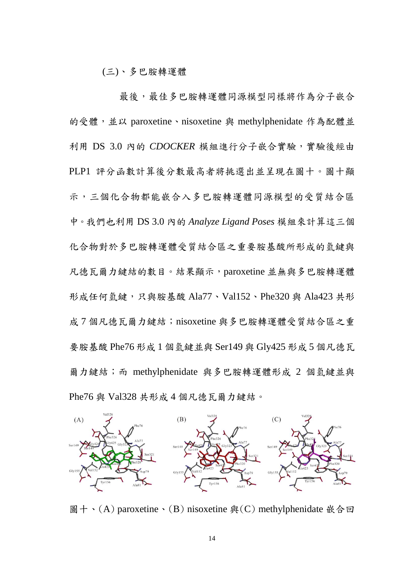(三)、多巴胺轉運體

最後,最佳多巴胺轉運體同源模型同樣將作為分子嵌合 的受體,並以 paroxetine、nisoxetine 與 methylphenidate 作為配體並 利用 DS 3.0 內的 *CDOCKER* 模組進行分子嵌合實驗,實驗後經由 PLP1 評分函數計算後分數最高者將挑選出並呈現在圖十。圖十顯 示,三個化合物都能嵌合入多巴胺轉運體同源模型的受質結合區 中。我們也利用 DS 3.0 內的 *Analyze Ligand Poses* 模組來計算這三個 化合物對於多巴胺轉運體受質結合區之重要胺基酸所形成的氫鍵與 凡德瓦爾力鍵結的數目。結果顯示,paroxetine 並無與多巴胺轉運體 形成任何氫鍵,只與胺基酸 Ala77、Val152、Phe320 與 Ala423 共形 成7個凡德瓦爾力鍵結; nisoxetine 與多巴胺轉運體受質結合區之重 要胺基酸 Phe76 形成 1 個氫鍵並與 Ser149 與 Gly425 形成 5 個凡德瓦 爾力鍵結;而 methylphenidate 與多巴胺轉運體形成 2 個氫鍵並與 Phe76 與 Val328 共形成 4 個凡德瓦爾力鍵結。



圖十、(A) paroxetine、(B) nisoxetine 與(C) methylphenidate 嵌合回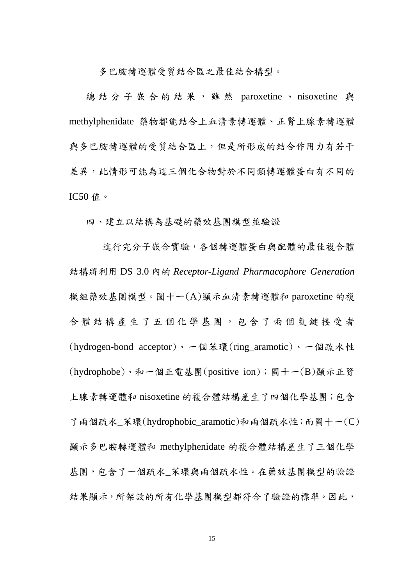多巴胺轉運體受質結合區之最佳結合構型。

總結分子嵌合的結果,雖然 paroxetine、 nisoxetine 與 methylphenidate 藥物都能結合上血清素轉運體、正腎上腺素轉運體 與多巴胺轉運體的受質結合區上,但是所形成的結合作用力有若干 差異,此情形可能為這三個化合物對於不同類轉運體蛋白有不同的 IC50 值。

四、建立以結構為基礎的藥效基團模型並驗證

進行完分子嵌合實驗,各個轉運體蛋白與配體的最佳複合體 結構將利用 DS 3.0 內的 *Receptor-Ligand Pharmacophore Generation* 模組藥效基團模型。圖十一(A)顯示血清素轉運體和 paroxetine 的複 合體結構產生了 五 個 化 學 基 團 , 包 含 了 兩 個 氫 鍵 接 受 者 (hydrogen-bond acceptor)、一個苯環(ring\_aramotic)、一個疏水性 (hydrophobe)、和一個正電基團(positive ion);圖十一(B)顯示正腎 上腺素轉運體和 nisoxetine 的複合體結構產生了四個化學基團;包含 了兩個疏水 苯環(hydrophobic aramotic)和兩個疏水性;而圖十一(C) 顯示多巴胺轉運體和 methylphenidate 的複合體結構產生了三個化學 基團,包含了一個疏水\_苯環與兩個疏水性。在藥效基團模型的驗證 結果顯示,所架設的所有化學基團模型都符合了驗證的標準。因此,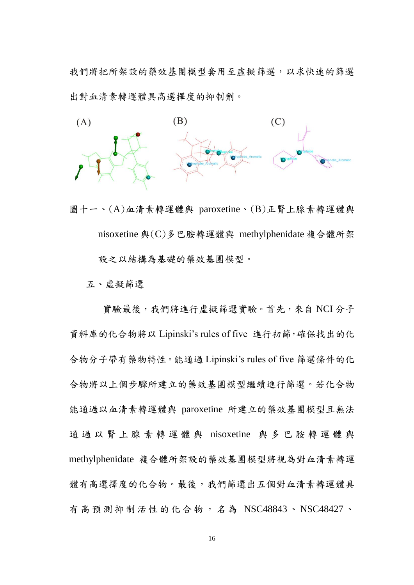我們將把所架設的藥效基團模型套用至虛擬篩選,以求快速的篩選 出對血清素轉運體具高選擇度的抑制劑。



圖十一、(A)血清素轉運體與 paroxetine、(B)正腎上腺素轉運體與 nisoxetine 與(C)多巴胺轉運體與 methylphenidate 複合體所架 設之以結構為基礎的藥效基團模型。

五、虛擬篩選

實驗最後,我們將進行虛擬篩選實驗。首先,來自 NCI 分子 資料庫的化合物將以 Lipinski's rules of five 進行初篩,確保找出的化 合物分子帶有藥物特性。能通過 Lipinski's rules of five 篩選條件的化 合物將以上個步驟所建立的藥效基團模型繼續進行篩選。若化合物 能通過以血清素轉運體與 paroxetine 所建立的藥效基團模型且無法 通過以 腎 上 腺 素 轉 運 體 與 nisoxetine 與 多 巴 胺 轉 運 體 與 methylphenidate 複合體所架設的藥效基團模型將視為對血清素轉運 體有高選擇度的化合物。最後,我們篩選出五個對血清素轉運體具 有高預測抑制活性的化合物,名為 NSC48843、NSC48427、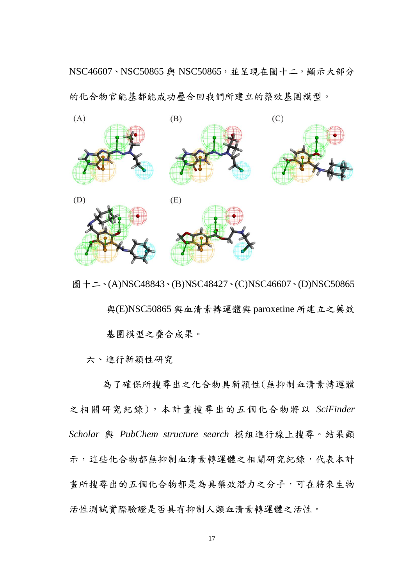NSC46607、NSC50865 與 NSC50865,並呈現在圖十二,顯示大部分 的化合物官能基都能成功疊合回我們所建立的藥效基團模型。



圖十二、(A)NSC48843、(B)NSC48427、(C)NSC46607、(D)NSC50865

 與(E)NSC50865 與血清素轉運體與 paroxetine 所建立之藥效 基團模型之疊合成果。

六、進行新穎性研究

為了確保所搜尋出之化合物具新穎性(無抑制血清素轉運體 之相關研究紀錄),本計畫搜尋出的五個化合物將以 *SciFinder Scholar* 與 *PubChem structure search* 模組進行線上搜尋。結果顯 示,這些化合物都無抑制血清素轉運體之相關研究紀錄,代表本計 畫所搜尋出的五個化合物都是為具藥效潛力之分子,可在將來生物 活性測試實際驗證是否具有抑制人類血清素轉運體之活性。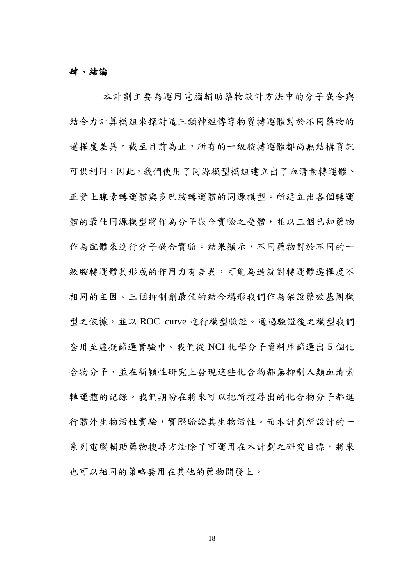#### 肆、結論

本計劃主要為運用電腦輔助藥物設計方法中的分子嵌合與 結合力計算模組來探討這三類神經傳導物質轉運體對於不同藥物的 選擇度差異。截至目前為止,所有的一級胺轉運體都尚無結構資訊 可供利用,因此,我們使用了同源模型模組建立出了血清素轉運體、 正腎上腺素轉運體與多巴胺轉運體的同源模型。所建立出各個轉運 體的最佳同源模型將作為分子嵌合實驗之受體,並以三個已知藥物 作為配體來進行分子嵌合實驗。結果顯示,不同藥物對於不同的一 級胺轉運體其形成的作用力有差異,可能為造就對轉運體選擇度不 相同的主因。三個抑制劑最佳的結合構形我們作為架設藥效基團模 型之依據,並以 ROC curve 進行模型驗證。通過驗證後之模型我們 套用至虛擬篩選實驗中。我們從 NCI 化學分子資料庫篩選出 5 個化 合物分子,並在新穎性研究上發現這些化合物都無抑制人類血清素 轉運體的記錄。我們期盼在將來可以把所搜尋出的化合物分子都進 行體外生物活性實驗,實際驗證其生物活性。而本計劃所設計的一 系列電腦輔助藥物搜尋方法除了可運用在本計劃之研究目標,將來 也可以相同的策略套用在其他的藥物開發上。

18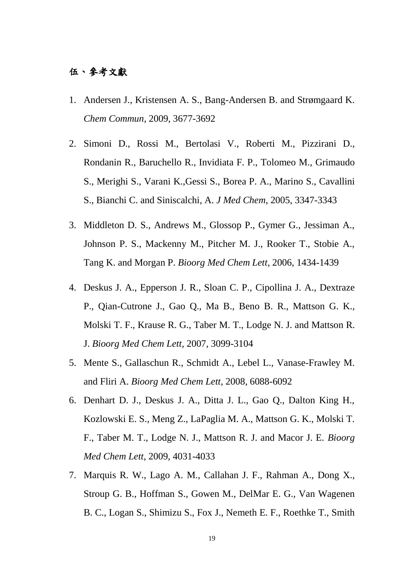### 伍、參考文獻

- 1. Andersen J., Kristensen A. S., Bang-Andersen B. and Strømgaard K. *Chem Commun*, 2009, 3677-3692
- 2. Simoni D., Rossi M., Bertolasi V., Roberti M., Pizzirani D., Rondanin R., Baruchello R., Invidiata F. P., Tolomeo M., Grimaudo S., Merighi S., Varani K.,Gessi S., Borea P. A., Marino S., Cavallini S., Bianchi C. and Siniscalchi, A. *J Med Chem*, 2005, 3347-3343
- 3. Middleton D. S., Andrews M., Glossop P., Gymer G., Jessiman A., Johnson P. S., Mackenny M., Pitcher M. J., Rooker T., Stobie A., Tang K. and Morgan P. *Bioorg Med Chem Lett*, 2006, 1434-1439
- 4. Deskus J. A., Epperson J. R., Sloan C. P., Cipollina J. A., Dextraze P., Qian-Cutrone J., Gao Q., Ma B., Beno B. R., Mattson G. K., Molski T. F., Krause R. G., Taber M. T., Lodge N. J. and Mattson R. J. *Bioorg Med Chem Lett*, 2007, 3099-3104
- 5. Mente S., Gallaschun R., Schmidt A., Lebel L., Vanase-Frawley M. and Fliri A. *Bioorg Med Chem Lett*, 2008, 6088-6092
- 6. Denhart D. J., Deskus J. A., Ditta J. L., Gao Q., Dalton King H., Kozlowski E. S., Meng Z., LaPaglia M. A., Mattson G. K., Molski T. F., Taber M. T., Lodge N. J., Mattson R. J. and Macor J. E. *Bioorg Med Chem Lett*, 2009, 4031-4033
- 7. Marquis R. W., Lago A. M., Callahan J. F., Rahman A., Dong X., Stroup G. B., Hoffman S., Gowen M., DelMar E. G., Van Wagenen B. C., Logan S., Shimizu S., Fox J., Nemeth E. F., Roethke T., Smith